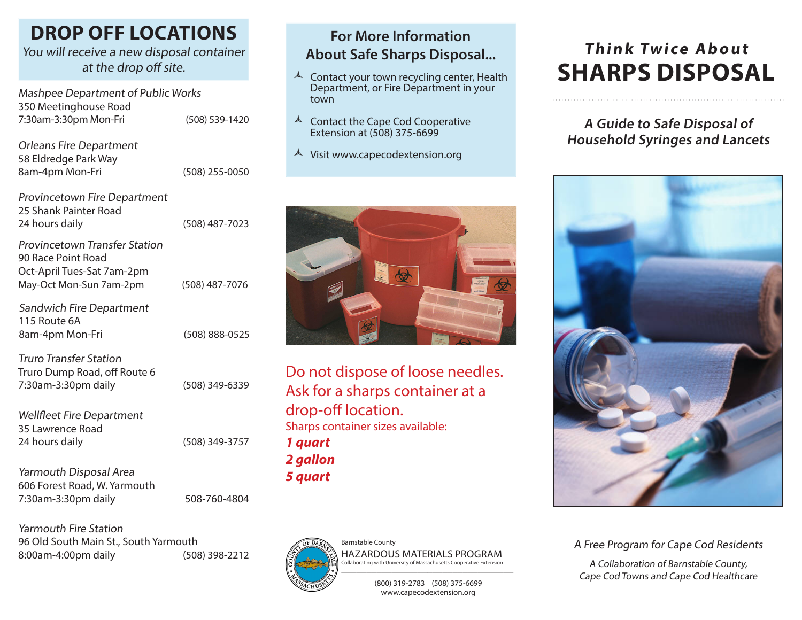### **DROP OFF LOCATIONS**

#### You will receive a new disposal container at the drop off site.

Mashpee Department of Public Works 350 Meetinghouse Road 7:30am-3:30pm Mon-Fri (508) 539-1420

Orleans Fire Department 58 Eldredge Park Way 8am-4pm Mon-Fri (508) 255-0050

| Provincetown Fire Department<br>25 Shank Painter Road<br>24 hours daily                                             | (508) 487-7023 |
|---------------------------------------------------------------------------------------------------------------------|----------------|
| <b>Provincetown Transfer Station</b><br>90 Race Point Road<br>Oct-April Tues-Sat 7am-2pm<br>May-Oct Mon-Sun 7am-2pm | (508) 487-7076 |
| Sandwich Fire Department<br>115 Route 6A<br>8am-4pm Mon-Fri                                                         | (508) 888-0525 |
| <b>Truro Transfer Station</b><br>Truro Dump Road, off Route 6<br>7:30am-3:30pm daily                                | (508) 349-6339 |

Wellfleet Fire Department 35 Lawrence Road 24 hours daily (508) 349-3757

Yarmouth Disposal Area 606 Forest Road, W. Yarmouth 7:30am-3:30pm daily 508-760-4804

Yarmouth Fire Station 96 Old South Main St., South Yarmouth 8:00am-4:00pm daily (508) 398-2212

#### **For More Information About Safe Sharps Disposal...**

- $\triangle$  Contact your town recycling center, Health Department, or Fire Department in your town
- $\triangle$  Contact the Cape Cod Cooperative Extension at (508) 375-6699
- $\triangle$  Visit www.capecodextension.org



Do not dispose of loose needles. Ask for a sharps container at a drop-off location. Sharps container sizes available: *1 quart 2 gallon 5 quart*



Barnstable County HAZARDOUS MATERIALS PROGRAM Collaborating with University of Massachusetts Cooperative Extension \_\_\_\_\_\_\_\_\_\_\_\_\_\_\_\_\_\_\_\_\_\_\_\_\_\_\_\_\_\_\_\_\_\_

> (800) 319-2783 (508) 375-6699 www.capecodextension.org

# **Think Twice About SHARPS DISPOSAL**

#### **A Guide to Safe Disposal of Household Syringes and Lancets**



A Free Program for Cape Cod Residents

A Collaboration of Barnstable County, Cape Cod Towns and Cape Cod Healthcare